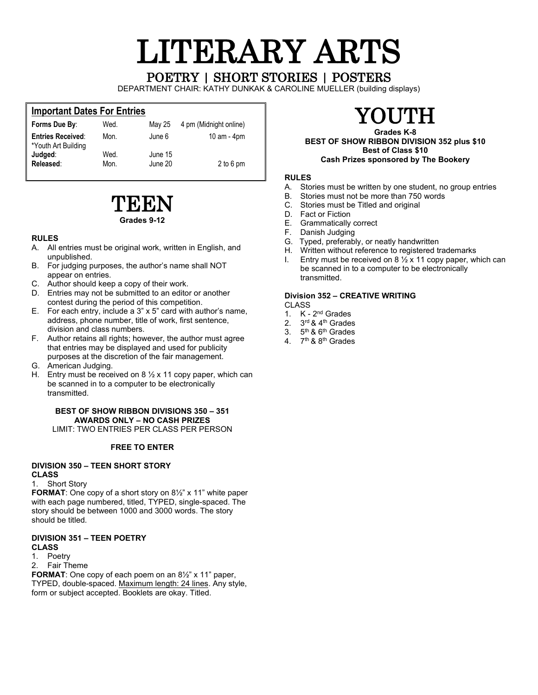# LITERARY ARTS POETRY | SHORT STORIES | POSTERS

DEPARTMENT CHAIR: KATHY DUNKAK & CAROLINE MUELLER (building displays)

### **Important Dates For Entries**

| Forms Due By:                                   | Wed.         | May 25             | 4 pm (Midnight online) |
|-------------------------------------------------|--------------|--------------------|------------------------|
| <b>Entries Received:</b><br>*Youth Art Building | Mon.         | June 6             | 10 am - $4$ pm         |
| Judged:<br>Released:                            | Wed.<br>Mon. | June 15<br>June 20 | 2 to 6 pm              |

### TEEN **Grades 9-12**

### **RULES**

- A. All entries must be original work, written in English, and unpublished.
- B. For judging purposes, the author's name shall NOT appear on entries.
- C. Author should keep a copy of their work.
- D. Entries may not be submitted to an editor or another contest during the period of this competition.
- E. For each entry, include a 3" x 5" card with author's name, address, phone number, title of work, first sentence, division and class numbers.
- F. Author retains all rights; however, the author must agree that entries may be displayed and used for publicity purposes at the discretion of the fair management.
- G. American Judging.
- H. Entry must be received on  $8\frac{1}{2}$  x 11 copy paper, which can be scanned in to a computer to be electronically transmitted.

### **BEST OF SHOW RIBBON DIVISIONS 350 – 351 AWARDS ONLY – NO CASH PRIZES**

LIMIT: TWO ENTRIES PER CLASS PER PERSON

### **FREE TO ENTER**

#### **DIVISION 350 – TEEN SHORT STORY CLASS**

1. Short Story

**FORMAT**: One copy of a short story on 8½" x 11" white paper with each page numbered, titled, TYPED, single-spaced. The story should be between 1000 and 3000 words. The story should be titled.

### **DIVISION 351 – TEEN POETRY**

### **CLASS**

1. Poetry

2. Fair Theme

**FORMAT**: One copy of each poem on an 8½" x 11" paper, TYPED, double-spaced. Maximum length: 24 lines. Any style, form or subject accepted. Booklets are okay. Titled.

## YOUTH

**Grades K-8 BEST OF SHOW RIBBON DIVISION 352 plus \$10 Best of Class \$10 Cash Prizes sponsored by The Bookery**

### **RULES**

- A. Stories must be written by one student, no group entries B. Stories must not be more than 750 words
- Stories must not be more than 750 words
- C. Stories must be Titled and original
- D. Fact or Fiction<br>E. Grammatically
- E. Grammatically correct<br>F. Danish Judging
- Danish Judging
- G. Typed, preferably, or neatly handwritten
- H. Written without reference to registered trademarks
- I. Entry must be received on  $8\frac{1}{2}$  x 11 copy paper, which can be scanned in to a computer to be electronically transmitted.

### **Division 352 – CREATIVE WRITING**

CLASS

- 1.  $K 2<sup>nd</sup>$  Grades<br>2.  $3<sup>rd</sup>$  & 4<sup>th</sup> Grades
- 3rd & 4<sup>th</sup> Grades
- 3.  $5<sup>th</sup>$  & 6<sup>th</sup> Grades
- 4. 7<sup>th</sup> & 8<sup>th</sup> Grades